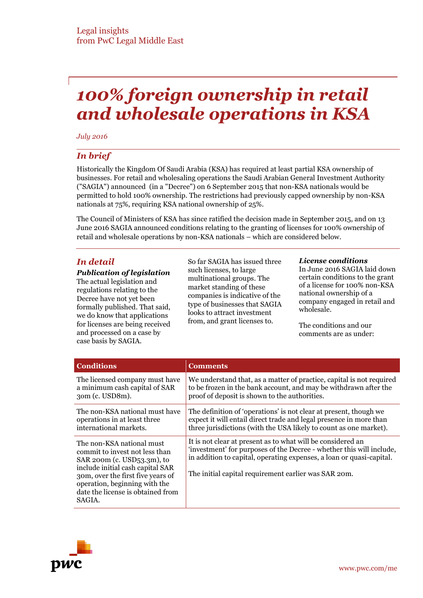# *100% foreign ownership in retail and wholesale operations in KSA*

*July 2016*

# *In brief*

Historically the Kingdom Of Saudi Arabia (KSA) has required at least partial KSA ownership of businesses. For retail and wholesaling operations the Saudi Arabian General Investment Authority ("SAGIA") announced (in a "Decree") on 6 September 2015 that non-KSA nationals would be permitted to hold 100% ownership. The restrictions had previously capped ownership by non-KSA nationals at 75%, requiring KSA national ownership of 25%.

The Council of Ministers of KSA has since ratified the decision made in September 2015, and on 13 June 2016 SAGIA announced conditions relating to the granting of licenses for 100% ownership of retail and wholesale operations by non-KSA nationals – which are considered below.

## *In detail*

## *Publication of legislation*

The actual legislation and regulations relating to the Decree have not yet been formally published. That said, we do know that applications for licenses are being received and processed on a case by case basis by SAGIA.

So far SAGIA has issued three such licenses, to large multinational groups. The market standing of these companies is indicative of the type of businesses that SAGIA looks to attract investment from, and grant licenses to.

### *License conditions*

In June 2016 SAGIA laid down certain conditions to the grant of a license for 100% non-KSA national ownership of a company engaged in retail and wholesale.

The conditions and our comments are as under:

| <b>Conditions</b>                                                                                                                                                                                                                                  | Comments                                                                                                                                                                                                                                                            |
|----------------------------------------------------------------------------------------------------------------------------------------------------------------------------------------------------------------------------------------------------|---------------------------------------------------------------------------------------------------------------------------------------------------------------------------------------------------------------------------------------------------------------------|
| The licensed company must have                                                                                                                                                                                                                     | We understand that, as a matter of practice, capital is not required                                                                                                                                                                                                |
| a minimum cash capital of SAR                                                                                                                                                                                                                      | to be frozen in the bank account, and may be withdrawn after the                                                                                                                                                                                                    |
| 30m (c. USD8m).                                                                                                                                                                                                                                    | proof of deposit is shown to the authorities.                                                                                                                                                                                                                       |
| The non-KSA national must have                                                                                                                                                                                                                     | The definition of 'operations' is not clear at present, though we                                                                                                                                                                                                   |
| operations in at least three                                                                                                                                                                                                                       | expect it will entail direct trade and legal presence in more than                                                                                                                                                                                                  |
| international markets.                                                                                                                                                                                                                             | three jurisdictions (with the USA likely to count as one market).                                                                                                                                                                                                   |
| The non-KSA national must<br>commit to invest not less than<br>SAR 200m (c. USD53.3m), to<br>include initial cash capital SAR<br>30m, over the first five years of<br>operation, beginning with the<br>date the license is obtained from<br>SAGIA. | It is not clear at present as to what will be considered an<br>'investment' for purposes of the Decree - whether this will include,<br>in addition to capital, operating expenses, a loan or quasi-capital.<br>The initial capital requirement earlier was SAR 20m. |

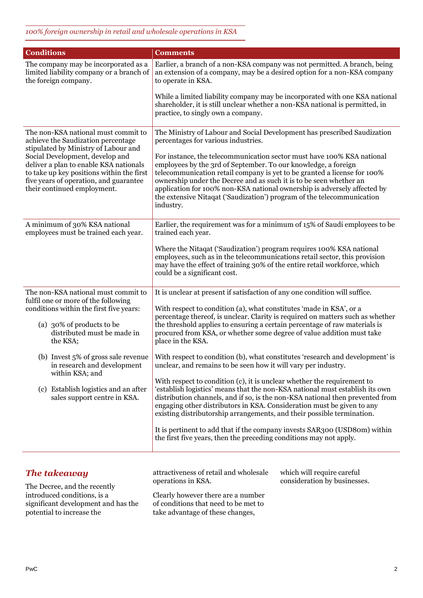*100% foreign ownership in retail and wholesale operations in KSA*

| <b>Conditions</b>                                                                                                                                                                                                                                                                                                                                              | <b>Comments</b>                                                                                                                                                                                                                                                                                                                                                                                                                                                                                                                                                                                                                                                                                                                                                                                                                                                                                                                                                                                                                                                                                                        |
|----------------------------------------------------------------------------------------------------------------------------------------------------------------------------------------------------------------------------------------------------------------------------------------------------------------------------------------------------------------|------------------------------------------------------------------------------------------------------------------------------------------------------------------------------------------------------------------------------------------------------------------------------------------------------------------------------------------------------------------------------------------------------------------------------------------------------------------------------------------------------------------------------------------------------------------------------------------------------------------------------------------------------------------------------------------------------------------------------------------------------------------------------------------------------------------------------------------------------------------------------------------------------------------------------------------------------------------------------------------------------------------------------------------------------------------------------------------------------------------------|
| The company may be incorporated as a<br>limited liability company or a branch of<br>the foreign company.                                                                                                                                                                                                                                                       | Earlier, a branch of a non-KSA company was not permitted. A branch, being<br>an extension of a company, may be a desired option for a non-KSA company<br>to operate in KSA.                                                                                                                                                                                                                                                                                                                                                                                                                                                                                                                                                                                                                                                                                                                                                                                                                                                                                                                                            |
|                                                                                                                                                                                                                                                                                                                                                                | While a limited liability company may be incorporated with one KSA national<br>shareholder, it is still unclear whether a non-KSA national is permitted, in<br>practice, to singly own a company.                                                                                                                                                                                                                                                                                                                                                                                                                                                                                                                                                                                                                                                                                                                                                                                                                                                                                                                      |
| The non-KSA national must commit to<br>achieve the Saudization percentage<br>stipulated by Ministry of Labour and<br>Social Development, develop and<br>deliver a plan to enable KSA nationals<br>to take up key positions within the first<br>five years of operation, and guarantee<br>their continued employment.                                           | The Ministry of Labour and Social Development has prescribed Saudization<br>percentages for various industries.<br>For instance, the telecommunication sector must have 100% KSA national<br>employees by the 3rd of September. To our knowledge, a foreign<br>telecommunication retail company is yet to be granted a license for 100%<br>ownership under the Decree and as such it is to be seen whether an<br>application for 100% non-KSA national ownership is adversely affected by<br>the extensive Nitaqat ('Saudization') program of the telecommunication<br>industry.                                                                                                                                                                                                                                                                                                                                                                                                                                                                                                                                       |
| A minimum of 30% KSA national<br>employees must be trained each year.                                                                                                                                                                                                                                                                                          | Earlier, the requirement was for a minimum of 15% of Saudi employees to be<br>trained each year.<br>Where the Nitaqat ('Saudization') program requires 100% KSA national<br>employees, such as in the telecommunications retail sector, this provision<br>may have the effect of training 30% of the entire retail workforce, which<br>could be a significant cost.                                                                                                                                                                                                                                                                                                                                                                                                                                                                                                                                                                                                                                                                                                                                                    |
| The non-KSA national must commit to<br>fulfil one or more of the following<br>conditions within the first five years:<br>(a) 30% of products to be<br>distributed must be made in<br>the KSA;<br>(b) Invest 5% of gross sale revenue<br>in research and development<br>within KSA; and<br>(c) Establish logistics and an after<br>sales support centre in KSA. | It is unclear at present if satisfaction of any one condition will suffice.<br>With respect to condition (a), what constitutes 'made in KSA', or a<br>percentage thereof, is unclear. Clarity is required on matters such as whether<br>the threshold applies to ensuring a certain percentage of raw materials is<br>procured from KSA, or whether some degree of value addition must take<br>place in the KSA.<br>With respect to condition (b), what constitutes 'research and development' is<br>unclear, and remains to be seen how it will vary per industry.<br>With respect to condition (c), it is unclear whether the requirement to<br>'establish logistics' means that the non-KSA national must establish its own<br>distribution channels, and if so, is the non-KSA national then prevented from<br>engaging other distributors in KSA. Consideration must be given to any<br>existing distributorship arrangements, and their possible termination.<br>It is pertinent to add that if the company invests SAR300 (USD80m) within<br>the first five years, then the preceding conditions may not apply. |
| The takeaway                                                                                                                                                                                                                                                                                                                                                   | attractiveness of retail and wholesale<br>which will require careful<br>consideration by businesses.<br>operations in KSA.                                                                                                                                                                                                                                                                                                                                                                                                                                                                                                                                                                                                                                                                                                                                                                                                                                                                                                                                                                                             |

The Decree, and the recently introduced conditions, is a significant development and has the potential to increase the

operations in KS. Clearly however there are a number

of conditions that need to be met to take advantage of these changes,

consideration by businesses.